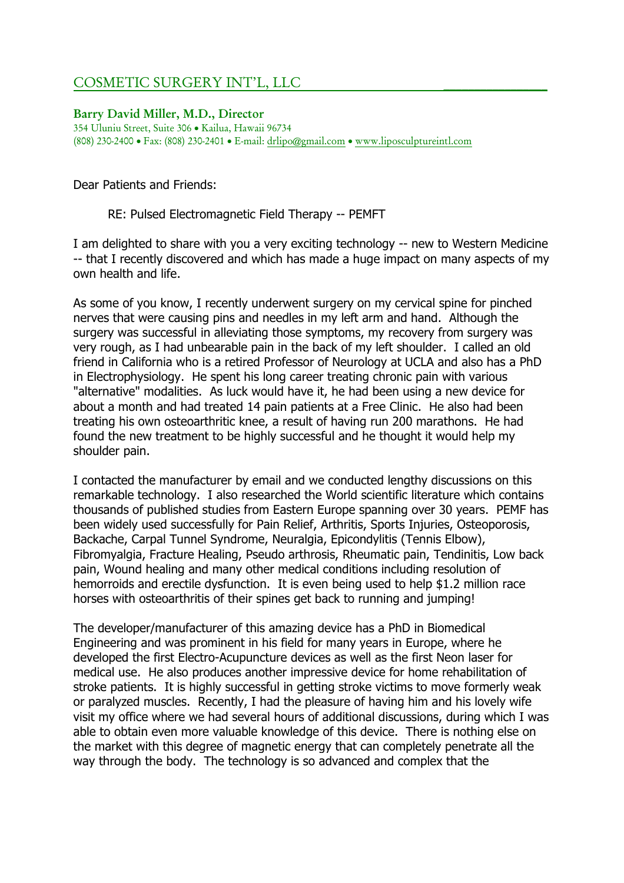# COSMETIC SURGERY INT'L, LLC \_\_\_\_\_\_\_\_\_\_\_\_\_\_\_\_\_

Barry David Miller, M.D., Director 354 Uluniu Street, Suite 306 • Kailua, Hawaii 96734 (808) 230-2400 • Fax: (808) 230-2401 • E-mail: drlipo@gmail.com • www.liposculptureintl.com

Dear Patients and Friends:

RE: Pulsed Electromagnetic Field Therapy -- PEMFT

I am delighted to share with you a very exciting technology -- new to Western Medicine -- that I recently discovered and which has made a huge impact on many aspects of my own health and life.

As some of you know, I recently underwent surgery on my cervical spine for pinched nerves that were causing pins and needles in my left arm and hand. Although the surgery was successful in alleviating those symptoms, my recovery from surgery was very rough, as I had unbearable pain in the back of my left shoulder. I called an old friend in California who is a retired Professor of Neurology at UCLA and also has a PhD in Electrophysiology. He spent his long career treating chronic pain with various "alternative" modalities. As luck would have it, he had been using a new device for about a month and had treated 14 pain patients at a Free Clinic. He also had been treating his own osteoarthritic knee, a result of having run 200 marathons. He had found the new treatment to be highly successful and he thought it would help my shoulder pain.

I contacted the manufacturer by email and we conducted lengthy discussions on this remarkable technology. I also researched the World scientific literature which contains thousands of published studies from Eastern Europe spanning over 30 years. PEMF has been widely used successfully for Pain Relief, Arthritis, Sports Injuries, Osteoporosis, Backache, Carpal Tunnel Syndrome, Neuralgia, Epicondylitis (Tennis Elbow), Fibromyalgia, Fracture Healing, Pseudo arthrosis, Rheumatic pain, Tendinitis, Low back pain, Wound healing and many other medical conditions including resolution of hemorroids and erectile dysfunction. It is even being used to help \$1.2 million race horses with osteoarthritis of their spines get back to running and jumping!

The developer/manufacturer of this amazing device has a PhD in Biomedical Engineering and was prominent in his field for many years in Europe, where he developed the first Electro-Acupuncture devices as well as the first Neon laser for medical use. He also produces another impressive device for home rehabilitation of stroke patients. It is highly successful in getting stroke victims to move formerly weak or paralyzed muscles. Recently, I had the pleasure of having him and his lovely wife visit my office where we had several hours of additional discussions, during which I was able to obtain even more valuable knowledge of this device. There is nothing else on the market with this degree of magnetic energy that can completely penetrate all the way through the body. The technology is so advanced and complex that the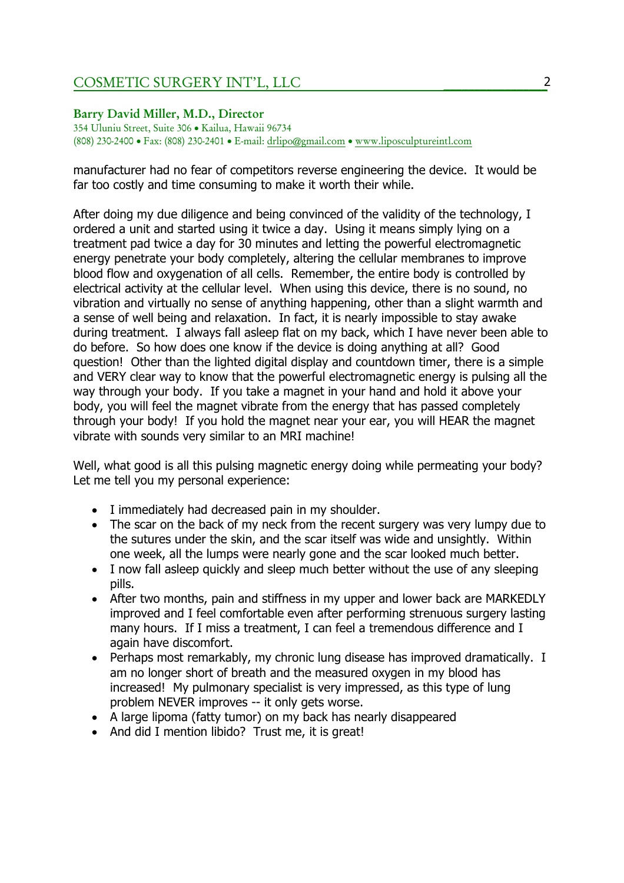## COSMETIC SURGERY INT'L, LLC \_\_\_\_\_\_\_\_\_\_\_\_\_\_\_\_\_

#### Barry David Miller, M.D., Director

354 Uluniu Street, Suite 306 • Kailua, Hawaii 96734 (808) 230-2400 • Fax: (808) 230-2401 • E-mail: drlipo@gmail.com • www.liposculptureintl.com

manufacturer had no fear of competitors reverse engineering the device. It would be far too costly and time consuming to make it worth their while.

After doing my due diligence and being convinced of the validity of the technology, I ordered a unit and started using it twice a day. Using it means simply lying on a treatment pad twice a day for 30 minutes and letting the powerful electromagnetic energy penetrate your body completely, altering the cellular membranes to improve blood flow and oxygenation of all cells. Remember, the entire body is controlled by electrical activity at the cellular level. When using this device, there is no sound, no vibration and virtually no sense of anything happening, other than a slight warmth and a sense of well being and relaxation. In fact, it is nearly impossible to stay awake during treatment. I always fall asleep flat on my back, which I have never been able to do before. So how does one know if the device is doing anything at all? Good question! Other than the lighted digital display and countdown timer, there is a simple and VERY clear way to know that the powerful electromagnetic energy is pulsing all the way through your body. If you take a magnet in your hand and hold it above your body, you will feel the magnet vibrate from the energy that has passed completely through your body! If you hold the magnet near your ear, you will HEAR the magnet vibrate with sounds very similar to an MRI machine!

Well, what good is all this pulsing magnetic energy doing while permeating your body? Let me tell you my personal experience:

- I immediately had decreased pain in my shoulder.
- The scar on the back of my neck from the recent surgery was very lumpy due to the sutures under the skin, and the scar itself was wide and unsightly. Within one week, all the lumps were nearly gone and the scar looked much better.
- I now fall asleep quickly and sleep much better without the use of any sleeping pills.
- After two months, pain and stiffness in my upper and lower back are MARKEDLY improved and I feel comfortable even after performing strenuous surgery lasting many hours. If I miss a treatment, I can feel a tremendous difference and I again have discomfort.
- Perhaps most remarkably, my chronic lung disease has improved dramatically. I am no longer short of breath and the measured oxygen in my blood has increased! My pulmonary specialist is very impressed, as this type of lung problem NEVER improves -- it only gets worse.
- A large lipoma (fatty tumor) on my back has nearly disappeared
- And did I mention libido? Trust me, it is great!